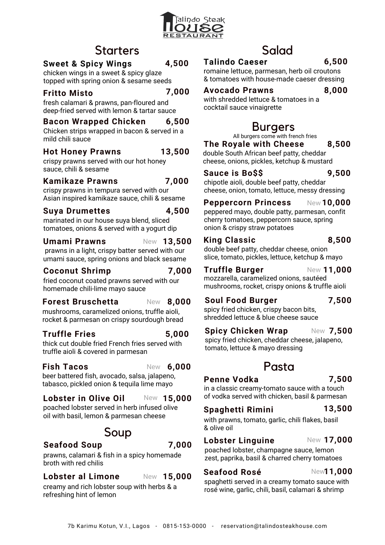

# **Starters**

### **4,500 Sweet & Spicy Wings**

chicken wings in a sweet & spicy glaze topped with spring onion & sesame seeds

## **Fritto Misto**

**7,000**

**7,000**

**4,500**

fresh calamari & prawns, pan-floured and deep-fried served with lemon & tartar sauce

#### **Bacon Wrapped Chicken 6,500**

Chicken strips wrapped in bacon & served in a mild chili sauce

#### **Hot Honey Prawns 13,500**

crispy prawns served with our hot honey sauce, chili & sesame

### **Kamikaze Prawns**

crispy prawns in tempura served with our Asian inspired kamikaze sauce, chili & sesame

## **Suya Drumettes**

marinated in our house suya blend, sliced tomatoes, onions & served with a yogurt dip

### **Umami Prawns**

prawns in a light, crispy batter served with our umami sauce, spring onions and black sesame **13,500** New

## **Coconut Shrimp 7,000**

fried coconut coated prawns served with our homemade chili-lime mayo sauce

#### **Forest Bruschetta** New 8.000

mushrooms, caramelized onions, truffle aioli, rocket & parmesan on crispy sourdough bread

# **Truffle Fries 5,000**

thick cut double fried French fries served with truffle aioli & covered in parmesan

# **Fish Tacos** New **6,000**

beer battered fish, avocado, salsa, jalapeno, tabasco, pickled onion & tequila lime mayo

# **Lobster in Olive Oil** New **15,000**

poached lobster served in herb infused olive oil with basil, lemon & parmesan cheese

# Soup

# **Seafood Soup 7,000**

### prawns, calamari & fish in a spicy homemade broth with red chilis

### **Lobster** al Limone New 15,000

creamy and rich lobster soup with herbs & a refreshing hint of lemon

### Salad **Talindo Caeser**

**6,500**

romaine lettuce, parmesan, herb oil croutons & tomatoes with house-made caeser dressing

### **Avocado Prawns**

**8,000**

with shredded lettuce & tomatoes in a cocktail sauce vinaigrette

# Burgers

All burgers come with french fries

double South African beef patty, cheddar cheese, onions, pickles, ketchup & mustard **The Royale with Cheese 8,500**

## **Sauce is Bo\$\$ 9,500**

chipotle aioli, double beef patty, cheddar cheese, onion, tomato, lettuce, messy dressing

## **Peppercorn Princess** New **10,000**

peppered mayo, double patty, parmesan, confit cherry tomatoes, peppercorn sauce, spring onion & crispy straw potatoes

### **King Classic 8,500**

double beef patty, cheddar cheese, onion slice, tomato, pickles, lettuce, ketchup & mayo

# New 11,000

mozzarella, caramelized onions, sautéed mushrooms, rocket, crispy onions & truffle aioli **Truffle Burger** 

# **7,500**

**Soul Food Burger** spicy fried chicken, crispy bacon bits, shredded lettuce & blue cheese sauce

### **Spicy Chicken Wrap 7,500** New

spicy fried chicken, cheddar cheese, jalapeno, tomato, lettuce & mayo dressing

## **Penne Vodka** Pasta

# **7,500**

in a classic creamy-tomato sauce with a touch of vodka served with chicken, basil & parmesan

# **Spaghetti Rimini**

with prawns, tomato, garlic, chili flakes, basil & olive oil

# **Lobster Linguine**

poached lobster, champagne sauce, lemon zest, paprika, basil & charred cherry tomatoes **17,000** New

# **Seafood Rosé**

## **11,000** New

**13,500**

spaghetti served in a creamy tomato sauce with rosé wine, garlic, chili, basil, calamari & shrimp